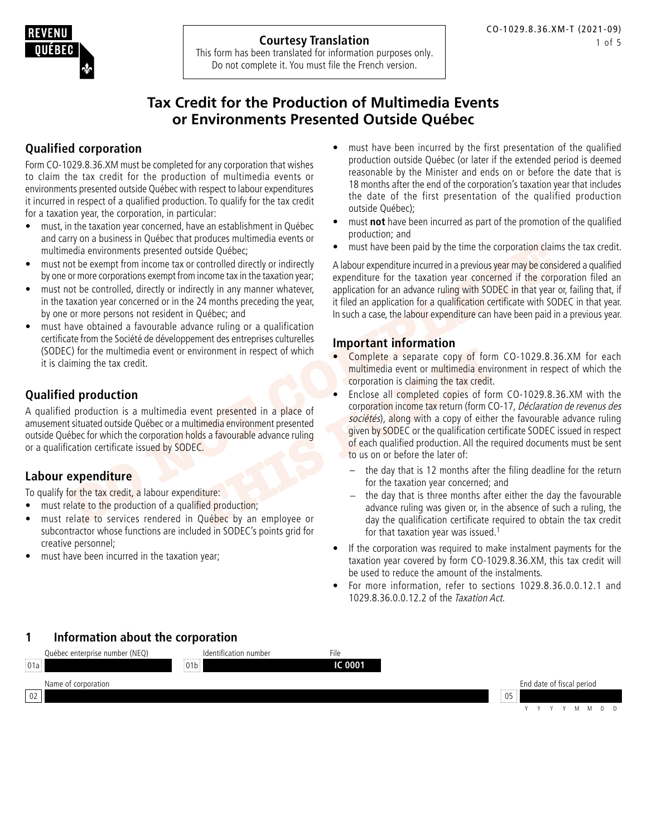<span id="page-0-0"></span>

This form has been translated for information purposes only. Do not complete it. You must file the French version.

# **Tax Credit for the Production of Multimedia Events or Environments Presented Outside Québec**

# **Qualified corporation**

Form CO-1029.8.36.XM must be completed for any corporation that wishes to claim the tax credit for the production of multimedia events or environments presented outside Québec with respect to labour expenditures it incurred in respect of a qualified production. To qualify for the tax credit for a taxation year, the corporation, in particular:

- must, in the taxation year concerned, have an establishment in Québec and carry on a business in Québec that produces multimedia events or multimedia environments presented outside Québec;
- must not be exempt from income tax or controlled directly or indirectly by one or more corporations exempt from income tax in the taxation year;
- must not be controlled, directly or indirectly in any manner whatever, in the taxation year concerned or in the 24 months preceding the year, by one or more persons not resident in Québec; and
- must have obtained a favourable advance ruling or a qualification certificate from the Société de développement des entreprises culturelles (SODEC) for the multimedia event or environment in respect of which it is claiming the tax credit.

# **Qualified production**

A qualified production is a multimedia event presented in a place of amusement situated outside Québec or a multimedia environment presented outside Québec for which the corporation holds a favourable advance ruling or a qualification certificate issued by SODEC.

# **Labour expenditure**

To qualify for the tax credit, a labour expenditure:

- must relate to the production of a qualified production;
- must relate to services rendered in Québec by an employee or subcontractor whose functions are included in SODEC's points grid for creative personnel;
- must have been incurred in the taxation year;
- must have been incurred by the first presentation of the qualified production outside Québec (or later if the extended period is deemed reasonable by the Minister and ends on or before the date that is 18 months after the end of the corporation's taxation year that includes the date of the first presentation of the qualified production outside Québec);
- must **not** have been incurred as part of the promotion of the qualified production; and
- must have been paid by the time the corporation claims the tax credit.

A labour expenditure incurred in a previous year may be considered a qualified expenditure for the taxation year concerned if the corporation filed an application for an advance ruling with SODEC in that year or, failing that, if it filed an application for a qualification certificate with SODEC in that year. In such a case, the labour expenditure can have been paid in a previous year.

## **Important information**

- Complete a separate copy of form CO-1029.8.36.XM for each multimedia event or multimedia environment in respect of which the corporation is claiming the tax credit.
- From incomest a enterprofision certificate issued by SODEC.<br>
The teampt from income tax or or more proporations exempt from income tax in the text of exception of or or or<br>
DO NOTE COMPARE COMPARE TO THE CONDUCT AND THE CO EXERCISE THE REVIDED FOR THE PROPERTY FOR THE PROPERTY FOR THE PROPERTY FOR THE PROPERTY FOR THE PROPERTY FOR THE PROPERTY FOR THE PROPERTY FOR THE PROPERTY FOR THE PROPERTY FOR THE PROPERTY FOR THE PROPERTY THAT THE PROPE Enclose all completed copies of form CO-1029.8.36.XM with the corporation income tax return (form CO-17, Déclaration de revenus des sociétés), along with a copy of either the favourable advance ruling given by SODEC or the qualification certificate SODEC issued in respect of each qualified production. All the required documents must be sent to us on or before the later of:
	- the day that is 12 months after the filing deadline for the return for the taxation year concerned; and
	- the day that is three months after either the day the favourable advance ruling was given or, in the absence of such a ruling, the day the qualification certificate required to obtain the tax credit for that taxation year was issued.<sup>1</sup>
	- If the corporation was required to make instalment payments for the taxation year covered by form CO-1029.8.36.XM, this tax credit will be used to reduce the amount of the instalments.
	- For more information, refer to sections 1029.8.36.0.0.12.1 and 1029.8.36.0.0.12.2 of the Taxation Act.

# **1 Information about the corporation**

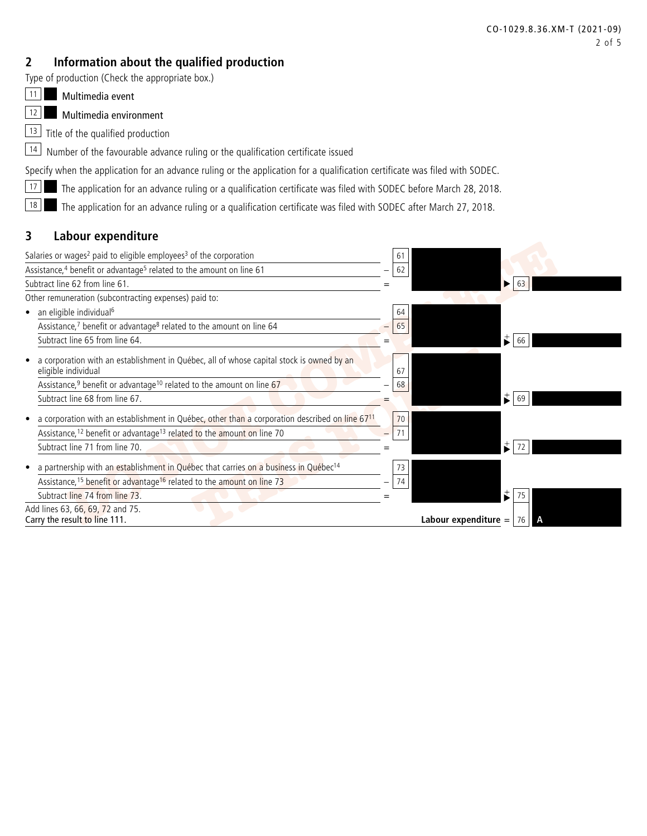# <span id="page-1-0"></span>**2 Information about the qualified production**

Type of production (Check the appropriate box.)

11 Multimedia event

12 Multimedia environment

13 Title of the qualified production

 $\boxed{14}$  Number of the favourable advance ruling or the qualification certificate issued

Specify when the application for an advance ruling or the application for a qualification certificate was filed with SODEC.

**17 The application for an advance ruling or a qualification certificate was filed with SODEC before March 28, 2018.** 

18 The application for an advance ruling or a qualification certificate was filed with SODEC after March 27, 2018.

# **3 Labour expenditure**

| Salaries or wages <sup>2</sup> paid to eligible employees <sup>3</sup> of the corporation                                                                                                       | 61       |                          |                            |  |
|-------------------------------------------------------------------------------------------------------------------------------------------------------------------------------------------------|----------|--------------------------|----------------------------|--|
| Assistance, <sup>4</sup> benefit or advantage <sup>5</sup> related to the amount on line 61                                                                                                     | 62       |                          |                            |  |
| Subtract line 62 from line 61.                                                                                                                                                                  |          |                          | -63                        |  |
| Other remuneration (subcontracting expenses) paid to:                                                                                                                                           |          |                          |                            |  |
| an eligible individual <sup>6</sup>                                                                                                                                                             | 64       |                          |                            |  |
| Assistance, <sup>7</sup> benefit or advantage <sup>8</sup> related to the amount on line 64                                                                                                     | 65       |                          |                            |  |
| Subtract line 65 from line 64.                                                                                                                                                                  |          |                          | $\ddot{\phantom{a}}$<br>66 |  |
| a corporation with an establishment in Québec, all of whose capital stock is owned by an<br>eligible individual                                                                                 | 67       |                          |                            |  |
| Assistance, <sup>9</sup> benefit or advantage <sup>10</sup> related to the amount on line 67                                                                                                    | 68       |                          |                            |  |
| Subtract line 68 from line 67.                                                                                                                                                                  |          |                          | ÷.<br>69                   |  |
| a corporation with an establishment in Québec, other than a corporation described on line 6711<br>Assistance, <sup>12</sup> benefit or advantage <sup>13</sup> related to the amount on line 70 | 70<br>71 |                          |                            |  |
| Subtract line 71 from line 70.                                                                                                                                                                  |          |                          |                            |  |
| a partnership with an establishment in Québec that carries on a business in Québec <sup>14</sup>                                                                                                | 73       |                          |                            |  |
| Assistance, <sup>15</sup> benefit or advantage <sup>16</sup> related to the amount on line 73                                                                                                   | 74       |                          |                            |  |
| Subtract line 74 from line 73.                                                                                                                                                                  |          | $\overrightarrow{\cdot}$ | 75                         |  |
| Add lines 63, 66, 69, 72 and 75.<br>Carry the result to line 111.                                                                                                                               |          | Labour expenditure $=$   |                            |  |
|                                                                                                                                                                                                 |          |                          |                            |  |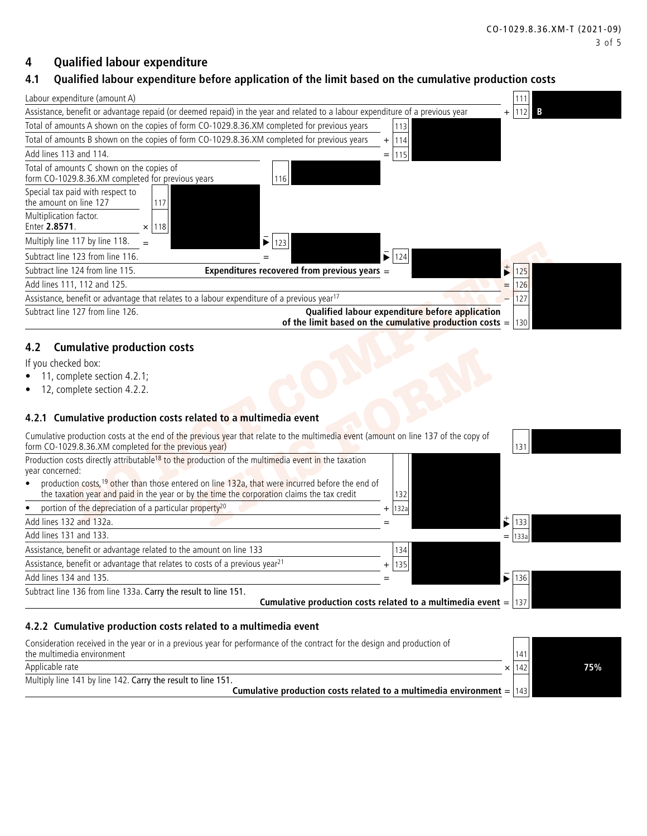## <span id="page-2-0"></span>**4 Qualified labour expenditure**

## **4.1 Qualified labour expenditure before application of the limit based on the cumulative production costs**

| Labour expenditure (amount A)                                                                                                                    |      |     |   |
|--------------------------------------------------------------------------------------------------------------------------------------------------|------|-----|---|
| Assistance, benefit or advantage repaid (or deemed repaid) in the year and related to a labour expenditure of a previous year                    | $^+$ |     | B |
| Total of amounts A shown on the copies of form CO-1029.8.36.XM completed for previous years<br>113                                               |      |     |   |
| Total of amounts B shown on the copies of form CO-1029.8.36.XM completed for previous years<br>14<br>$\pm$                                       |      |     |   |
| Add lines 113 and 114.                                                                                                                           |      |     |   |
| Total of amounts C shown on the copies of<br>form CO-1029.8.36.XM completed for previous years<br>116                                            |      |     |   |
| Special tax paid with respect to<br>the amount on line 127                                                                                       |      |     |   |
| Multiplication factor.<br>Enter 2.8571.<br>118<br>×                                                                                              |      |     |   |
| Multiply line 117 by line 118.                                                                                                                   |      |     |   |
| $\blacktriangleright$ 124<br>Subtract line 123 from line 116.                                                                                    |      |     |   |
| Expenditures recovered from previous years =<br>Subtract line 124 from line 115.                                                                 |      |     |   |
| Add lines 111, 112 and 125.                                                                                                                      | $=$  | 26  |   |
| Assistance, benefit or advantage that relates to a labour expenditure of a previous year <sup>17</sup>                                           |      | 127 |   |
| Qualified labour expenditure before application<br>Subtract line 127 from line 126.<br>of the limit based on the cumulative production costs $=$ |      | 130 |   |

#### **4.2 Cumulative production costs**

- 11, complete section 4.2.1;
- 12, complete section 4.2.2.

#### **4.2.1 Cumulative production costs related to a multimedia event**

| $\bar{\bullet}$<br>124                                                                                                                    |
|-------------------------------------------------------------------------------------------------------------------------------------------|
| $\sharp$<br>Expenditures recovered from previous years =<br>125                                                                           |
| 126<br>$=$                                                                                                                                |
| 127                                                                                                                                       |
| Qualified labour expenditure before application<br>of the limit based on the cumulative production costs = $ 130 $                        |
|                                                                                                                                           |
|                                                                                                                                           |
|                                                                                                                                           |
|                                                                                                                                           |
|                                                                                                                                           |
| Cumulative production costs at the end of the previous year that relate to the multimedia event (amount on line 137 of the copy of<br>131 |
|                                                                                                                                           |
| production costs, <sup>19</sup> other than those entered on line 132a, that were incurred before the end of<br>132                        |
| 132a                                                                                                                                      |
| t<br>133                                                                                                                                  |
| 133<br>$=$                                                                                                                                |
| 134                                                                                                                                       |
| 135<br>$+$                                                                                                                                |
| $\bar{\bullet}$<br>136                                                                                                                    |
| Cumulative production costs related to a multimedia event $=$  137                                                                        |
|                                                                                                                                           |

#### **4.2.2 Cumulative production costs related to a multimedia event**

Consideration received in the year or in a previous year for performance of the contract for the design and production of the multimedia environment and the multimedia environment of the contract of the multimedia environment of the  $\frac{1}{4}$ 

| Applicable rate | 1421<br>$-1$ |  | न्दछ:<br>07 ע |  |
|-----------------|--------------|--|---------------|--|
|-----------------|--------------|--|---------------|--|

Multiply line 141 by line 142. Carry the result to line 151.

**Cumulative production costs related to a multimedia environment** =  $|143\rangle$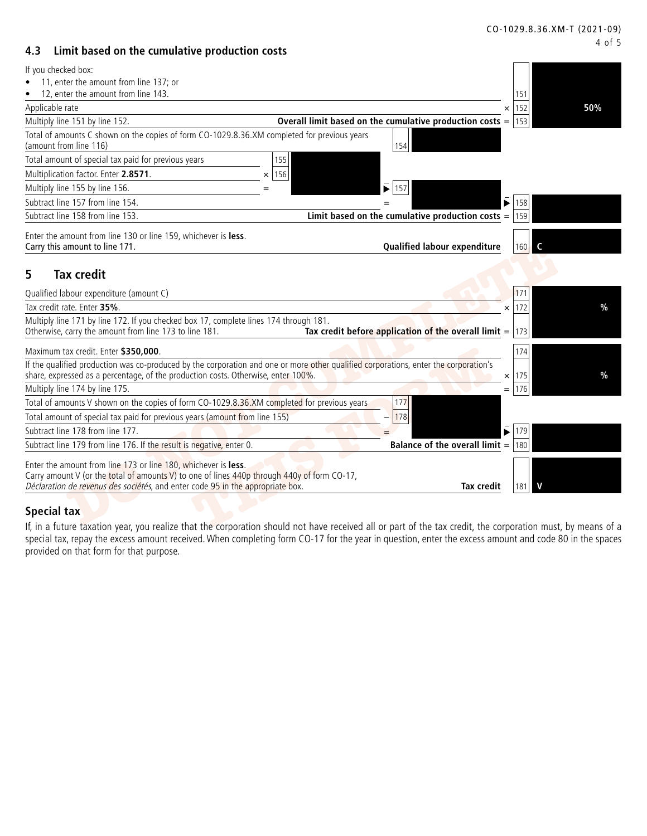#### **4.3 Limit based on the cumulative production costs**

| If you checked box:                                                                                                                                                                                                                             |                                                                        |                 |     |
|-------------------------------------------------------------------------------------------------------------------------------------------------------------------------------------------------------------------------------------------------|------------------------------------------------------------------------|-----------------|-----|
| 11, enter the amount from line 137; or                                                                                                                                                                                                          |                                                                        |                 |     |
| 12, enter the amount from line 143.                                                                                                                                                                                                             |                                                                        | 151             |     |
| Applicable rate                                                                                                                                                                                                                                 | $\times$                                                               | 152             | 50% |
| Multiply line 151 by line 152.                                                                                                                                                                                                                  | Overall limit based on the cumulative production costs = $ 153\rangle$ |                 |     |
| Total of amounts C shown on the copies of form CO-1029.8.36.XM completed for previous years<br>(amount from line 116)                                                                                                                           | 154                                                                    |                 |     |
| Total amount of special tax paid for previous years<br>155                                                                                                                                                                                      |                                                                        |                 |     |
| Multiplication factor. Enter 2.8571.<br>156<br>$\times$                                                                                                                                                                                         |                                                                        |                 |     |
| Multiply line 155 by line 156.                                                                                                                                                                                                                  | $\bar{\mathbf{v}}$<br>157                                              |                 |     |
| Subtract line 157 from line 154.                                                                                                                                                                                                                | $\bar{\mathbf{v}}$                                                     | 158             |     |
| Subtract line 158 from line 153.                                                                                                                                                                                                                | Limit based on the cumulative production costs = $ 159 $               |                 |     |
|                                                                                                                                                                                                                                                 |                                                                        |                 |     |
| Enter the amount from line 130 or line 159, whichever is less.<br>Carry this amount to line 171.                                                                                                                                                | Qualified labour expenditure                                           | 160             | C   |
| <b>Tax credit</b><br>5                                                                                                                                                                                                                          |                                                                        | 171             |     |
| Qualified labour expenditure (amount C)<br>Tax credit rate. Enter 35%.                                                                                                                                                                          |                                                                        |                 |     |
|                                                                                                                                                                                                                                                 |                                                                        | 172<br>$\times$ | %   |
| Multiply line 171 by line 172. If you checked box 17, complete lines 174 through 181.<br>Otherwise, carry the amount from line 173 to line 181.                                                                                                 | Tax credit before application of the overall limit $=$ 173             |                 |     |
| Maximum tax credit. Enter \$350,000.                                                                                                                                                                                                            |                                                                        | 174             |     |
| If the qualified production was co-produced by the corporation and one or more other qualified corporations, enter the corporation's                                                                                                            |                                                                        |                 |     |
| share, expressed as a percentage, of the production costs. Otherwise, enter 100%.                                                                                                                                                               |                                                                        | $\times$ 175    | %   |
| Multiply line 174 by line 175.                                                                                                                                                                                                                  |                                                                        | $=$   176       |     |
| Total of amounts V shown on the copies of form CO-1029.8.36.XM completed for previous years                                                                                                                                                     | 177                                                                    |                 |     |
| Total amount of special tax paid for previous years (amount from line 155)                                                                                                                                                                      | 178                                                                    |                 |     |
| Subtract line 178 from line 177.                                                                                                                                                                                                                | $\bar{\blacktriangleright}$                                            | 179             |     |
| Subtract line 179 from line 176. If the result is negative, enter 0.                                                                                                                                                                            | <b>Balance of the overall limit = 180</b>                              |                 |     |
| Enter the amount from line 173 or line 180, whichever is less.<br>Carry amount V (or the total of amounts V) to one of lines 440p through 440y of form CO-17,<br>Déclaration de revenus des sociétés, and enter code 95 in the appropriate box. | <b>Tax credit</b>                                                      | 181             |     |
| <b>Special tax</b>                                                                                                                                                                                                                              |                                                                        |                 |     |
| If, in a future taxation year, you realize that the corporation should not have received all or part of the tax credit, the corporation must, by means of a                                                                                     |                                                                        |                 |     |

#### **Special tax**

If, in a future taxation year, you realize that the corporation should not have received all or part of the tax credit, the corporation must, by means of a special tax, repay the excess amount received. When completing form CO-17 for the year in question, enter the excess amount and code 80 in the spaces provided on that form for that purpose.